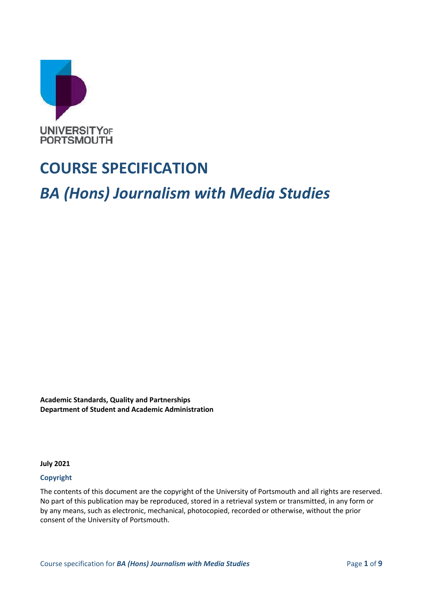

# **COURSE SPECIFICATION**

*BA (Hons) Journalism with Media Studies*

**Academic Standards, Quality and Partnerships Department of Student and Academic Administration**

**July 2021**

#### **Copyright**

The contents of this document are the copyright of the University of Portsmouth and all rights are reserved. No part of this publication may be reproduced, stored in a retrieval system or transmitted, in any form or by any means, such as electronic, mechanical, photocopied, recorded or otherwise, without the prior consent of the University of Portsmouth.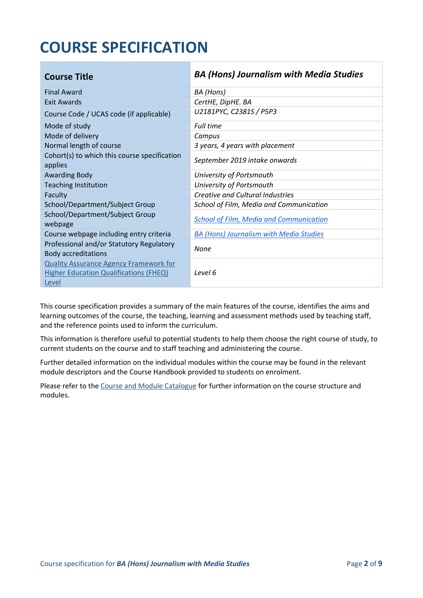# **COURSE SPECIFICATION**

| <b>Course Title</b>                                                    | <b>BA (Hons) Journalism with Media Studies</b> |
|------------------------------------------------------------------------|------------------------------------------------|
| <b>Final Award</b>                                                     | BA (Hons)                                      |
| Exit Awards                                                            | CertHE, DipHE. BA                              |
| Course Code / UCAS code (if applicable)                                | U2181PYC, C2381S / P5P3                        |
| Mode of study                                                          | Full time                                      |
| Mode of delivery                                                       | Campus                                         |
| Normal length of course                                                | 3 years, 4 years with placement                |
| Cohort(s) to which this course specification<br>applies                | September 2019 intake onwards                  |
| <b>Awarding Body</b>                                                   | University of Portsmouth                       |
| <b>Teaching Institution</b>                                            | University of Portsmouth                       |
| Faculty                                                                | <b>Creative and Cultural Industries</b>        |
| School/Department/Subject Group                                        | School of Film, Media and Communication        |
| School/Department/Subject Group<br>webpage                             | <b>School of Film, Media and Communication</b> |
| Course webpage including entry criteria                                | <b>BA (Hons) Journalism with Media Studies</b> |
| Professional and/or Statutory Regulatory<br><b>Body accreditations</b> | None                                           |
| <b>Quality Assurance Agency Framework for</b>                          |                                                |
| <b>Higher Education Qualifications (FHEQ)</b>                          | Level 6                                        |
| Level                                                                  |                                                |

This course specification provides a summary of the main features of the course, identifies the aims and learning outcomes of the course, the teaching, learning and assessment methods used by teaching staff, and the reference points used to inform the curriculum.

This information is therefore useful to potential students to help them choose the right course of study, to current students on the course and to staff teaching and administering the course.

Further detailed information on the individual modules within the course may be found in the relevant module descriptors and the Course Handbook provided to students on enrolment.

Please refer to the Course [and Module Catalogue](https://course-module-catalog.port.ac.uk/#/welcome) for further information on the course structure and modules.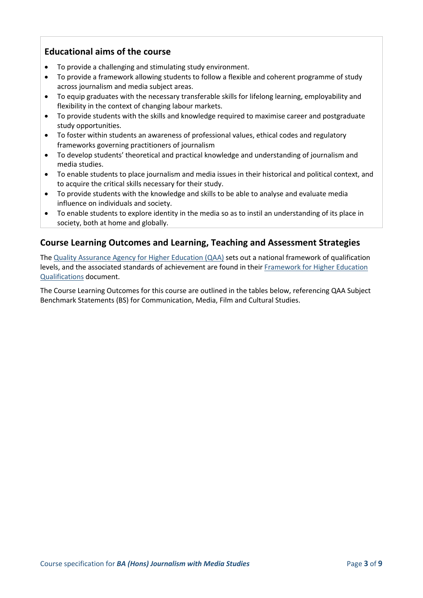### **Educational aims of the course**

- To provide a challenging and stimulating study environment.
- To provide a framework allowing students to follow a flexible and coherent programme of study across journalism and media subject areas.
- To equip graduates with the necessary transferable skills for lifelong learning, employability and flexibility in the context of changing labour markets.
- To provide students with the skills and knowledge required to maximise career and postgraduate study opportunities.
- To foster within students an awareness of professional values, ethical codes and regulatory frameworks governing practitioners of journalism
- To develop students' theoretical and practical knowledge and understanding of journalism and media studies.
- To enable students to place journalism and media issues in their historical and political context, and to acquire the critical skills necessary for their study.
- To provide students with the knowledge and skills to be able to analyse and evaluate media influence on individuals and society.
- To enable students to explore identity in the media so as to instil an understanding of its place in society, both at home and globally.

### **Course Learning Outcomes and Learning, Teaching and Assessment Strategies**

The [Quality Assurance Agency for Higher Education \(QAA\)](http://www.qaa.ac.uk/en) sets out a national framework of qualification levels, and the associated standards of achievement are found in their Framework [for Higher Education](https://www.qaa.ac.uk/quality-code/qualifications-frameworks)  [Qualifications](https://www.qaa.ac.uk/quality-code/qualifications-frameworks) document.

The Course Learning Outcomes for this course are outlined in the tables below, referencing QAA Subject Benchmark Statements (BS) for Communication, Media, Film and Cultural Studies.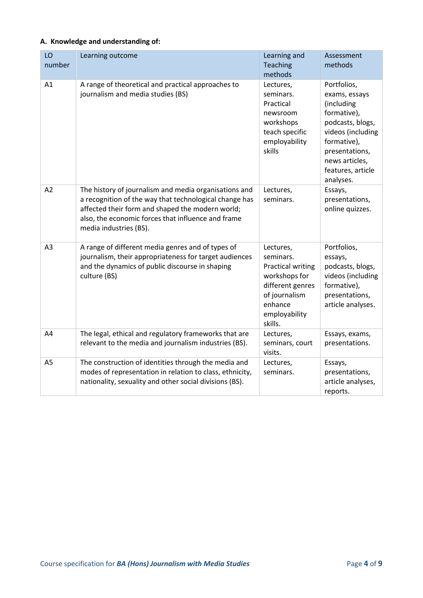#### **A. Knowledge and understanding of:**

| LO<br>number   | Learning outcome                                                                                                                                                                                                                                    | Learning and<br>Teaching<br>methods                                                                                                             | Assessment<br>methods                                                                                                                                                                   |
|----------------|-----------------------------------------------------------------------------------------------------------------------------------------------------------------------------------------------------------------------------------------------------|-------------------------------------------------------------------------------------------------------------------------------------------------|-----------------------------------------------------------------------------------------------------------------------------------------------------------------------------------------|
| A1             | A range of theoretical and practical approaches to<br>journalism and media studies (BS)                                                                                                                                                             | Lectures,<br>seminars.<br>Practical<br>newsroom<br>workshops<br>teach specific<br>employability<br>skills                                       | Portfolios,<br>exams, essays<br>(including<br>formative),<br>podcasts, blogs,<br>videos (including<br>formative),<br>presentations,<br>news articles,<br>features, article<br>analyses. |
| A2             | The history of journalism and media organisations and<br>a recognition of the way that technological change has<br>affected their form and shaped the modern world;<br>also, the economic forces that influence and frame<br>media industries (BS). | Lectures,<br>seminars.                                                                                                                          | Essays,<br>presentations,<br>online quizzes.                                                                                                                                            |
| A <sub>3</sub> | A range of different media genres and of types of<br>journalism, their appropriateness for target audiences<br>and the dynamics of public discourse in shaping<br>culture (BS)                                                                      | Lectures,<br>seminars.<br><b>Practical writing</b><br>workshops for<br>different genres<br>of journalism<br>enhance<br>employability<br>skills. | Portfolios,<br>essays,<br>podcasts, blogs,<br>videos (including<br>formative),<br>presentations,<br>article analyses.                                                                   |
| A4             | The legal, ethical and regulatory frameworks that are<br>relevant to the media and journalism industries (BS).                                                                                                                                      | Lectures,<br>seminars, court<br>visits.                                                                                                         | Essays, exams,<br>presentations.                                                                                                                                                        |
| A <sub>5</sub> | The construction of identities through the media and<br>modes of representation in relation to class, ethnicity,<br>nationality, sexuality and other social divisions (BS).                                                                         | Lectures,<br>seminars.                                                                                                                          | Essays,<br>presentations,<br>article analyses,<br>reports.                                                                                                                              |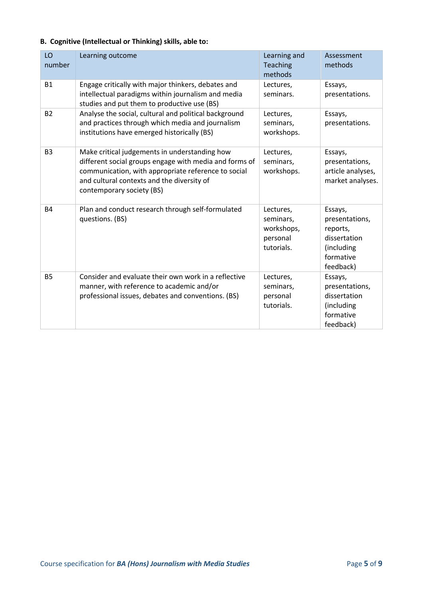#### **B. Cognitive (Intellectual or Thinking) skills, able to:**

| LO<br>number   | Learning outcome                                                                                                                                                                                                                          | Learning and<br><b>Teaching</b><br>methods                     | Assessment<br>methods                                                                         |
|----------------|-------------------------------------------------------------------------------------------------------------------------------------------------------------------------------------------------------------------------------------------|----------------------------------------------------------------|-----------------------------------------------------------------------------------------------|
| <b>B1</b>      | Engage critically with major thinkers, debates and<br>intellectual paradigms within journalism and media<br>studies and put them to productive use (BS)                                                                                   | Lectures,<br>seminars.                                         | Essays,<br>presentations.                                                                     |
| <b>B2</b>      | Analyse the social, cultural and political background<br>and practices through which media and journalism<br>institutions have emerged historically (BS)                                                                                  | Lectures,<br>seminars,<br>workshops.                           | Essays,<br>presentations.                                                                     |
| B <sub>3</sub> | Make critical judgements in understanding how<br>different social groups engage with media and forms of<br>communication, with appropriate reference to social<br>and cultural contexts and the diversity of<br>contemporary society (BS) | Lectures,<br>seminars,<br>workshops.                           | Essays,<br>presentations,<br>article analyses,<br>market analyses.                            |
| <b>B4</b>      | Plan and conduct research through self-formulated<br>questions. (BS)                                                                                                                                                                      | Lectures,<br>seminars,<br>workshops,<br>personal<br>tutorials. | Essays,<br>presentations,<br>reports,<br>dissertation<br>(including<br>formative<br>feedback) |
| <b>B5</b>      | Consider and evaluate their own work in a reflective<br>manner, with reference to academic and/or<br>professional issues, debates and conventions. (BS)                                                                                   | Lectures,<br>seminars,<br>personal<br>tutorials.               | Essays,<br>presentations,<br>dissertation<br>(including<br>formative<br>feedback)             |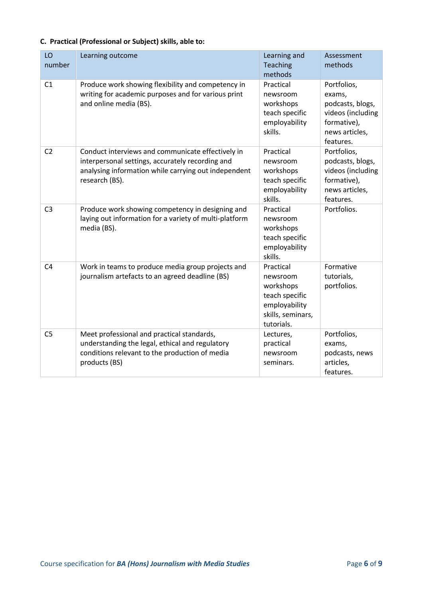|  |  |  |  | C. Practical (Professional or Subject) skills, able to: |
|--|--|--|--|---------------------------------------------------------|
|--|--|--|--|---------------------------------------------------------|

| LO<br>number   | Learning outcome                                                                                                                                                                | Learning and<br><b>Teaching</b><br>methods                                                               | Assessment<br>methods                                                                                        |
|----------------|---------------------------------------------------------------------------------------------------------------------------------------------------------------------------------|----------------------------------------------------------------------------------------------------------|--------------------------------------------------------------------------------------------------------------|
| C1             | Produce work showing flexibility and competency in<br>writing for academic purposes and for various print<br>and online media (BS).                                             | Practical<br>newsroom<br>workshops<br>teach specific<br>employability<br>skills.                         | Portfolios,<br>exams,<br>podcasts, blogs,<br>videos (including<br>formative),<br>news articles,<br>features. |
| C <sub>2</sub> | Conduct interviews and communicate effectively in<br>interpersonal settings, accurately recording and<br>analysing information while carrying out independent<br>research (BS). | Practical<br>newsroom<br>workshops<br>teach specific<br>employability<br>skills.                         | Portfolios,<br>podcasts, blogs,<br>videos (including<br>formative),<br>news articles,<br>features.           |
| C <sub>3</sub> | Produce work showing competency in designing and<br>laying out information for a variety of multi-platform<br>media (BS).                                                       | Practical<br>newsroom<br>workshops<br>teach specific<br>employability<br>skills.                         | Portfolios.                                                                                                  |
| C <sub>4</sub> | Work in teams to produce media group projects and<br>journalism artefacts to an agreed deadline (BS)                                                                            | Practical<br>newsroom<br>workshops<br>teach specific<br>employability<br>skills, seminars,<br>tutorials. | Formative<br>tutorials,<br>portfolios.                                                                       |
| C <sub>5</sub> | Meet professional and practical standards,<br>understanding the legal, ethical and regulatory<br>conditions relevant to the production of media<br>products (BS)                | Lectures,<br>practical<br>newsroom<br>seminars.                                                          | Portfolios,<br>exams,<br>podcasts, news<br>articles,<br>features.                                            |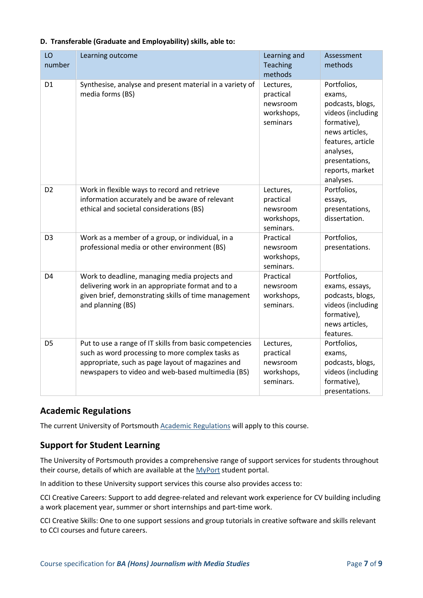| LO<br>number   | Learning outcome                                                                                                                                                                                                      | Learning and<br>Teaching                                      | Assessment<br>methods                                                                                                                                                               |
|----------------|-----------------------------------------------------------------------------------------------------------------------------------------------------------------------------------------------------------------------|---------------------------------------------------------------|-------------------------------------------------------------------------------------------------------------------------------------------------------------------------------------|
|                |                                                                                                                                                                                                                       | methods                                                       |                                                                                                                                                                                     |
| D <sub>1</sub> | Synthesise, analyse and present material in a variety of<br>media forms (BS)                                                                                                                                          | Lectures,<br>practical<br>newsroom<br>workshops,<br>seminars  | Portfolios,<br>exams,<br>podcasts, blogs,<br>videos (including<br>formative),<br>news articles,<br>features, article<br>analyses,<br>presentations,<br>reports, market<br>analyses. |
| D <sub>2</sub> | Work in flexible ways to record and retrieve<br>information accurately and be aware of relevant<br>ethical and societal considerations (BS)                                                                           | Lectures,<br>practical<br>newsroom<br>workshops,<br>seminars. | Portfolios,<br>essays,<br>presentations,<br>dissertation.                                                                                                                           |
| D <sub>3</sub> | Work as a member of a group, or individual, in a<br>professional media or other environment (BS)                                                                                                                      | Practical<br>newsroom<br>workshops,<br>seminars.              | Portfolios,<br>presentations.                                                                                                                                                       |
| D <sub>4</sub> | Work to deadline, managing media projects and<br>delivering work in an appropriate format and to a<br>given brief, demonstrating skills of time management<br>and planning (BS)                                       | Practical<br>newsroom<br>workshops,<br>seminars.              | Portfolios,<br>exams, essays,<br>podcasts, blogs,<br>videos (including<br>formative),<br>news articles,<br>features.                                                                |
| D <sub>5</sub> | Put to use a range of IT skills from basic competencies<br>such as word processing to more complex tasks as<br>appropriate, such as page layout of magazines and<br>newspapers to video and web-based multimedia (BS) | Lectures,<br>practical<br>newsroom<br>workshops,<br>seminars. | Portfolios,<br>exams,<br>podcasts, blogs,<br>videos (including<br>formative),<br>presentations.                                                                                     |

### **D. Transferable (Graduate and Employability) skills, able to:**

#### **Academic Regulations**

The current University of Portsmouth [Academic Regulations](https://staff.port.ac.uk/departments/services/academicregistry/qmd/assessmentandregulations/) will apply to this course.

#### **Support for Student Learning**

The University of Portsmouth provides a comprehensive range of support services for students throughout their course, details of which are available at the [MyPort](http://myport.ac.uk/) student portal.

In addition to these University support services this course also provides access to:

CCI Creative Careers: Support to add degree-related and relevant work experience for CV building including a work placement year, summer or short internships and part-time work.

CCI Creative Skills: One to one support sessions and group tutorials in creative software and skills relevant to CCI courses and future careers.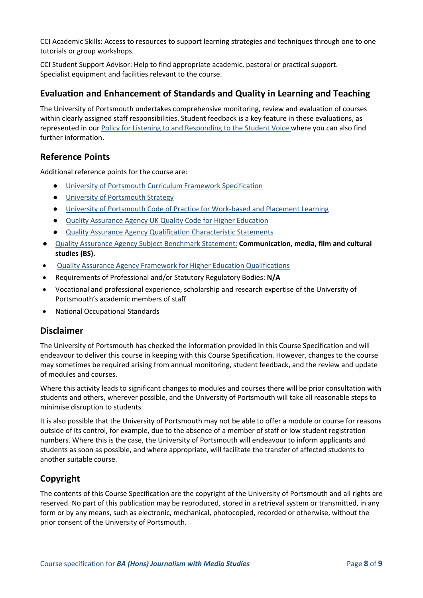CCI Academic Skills: Access to resources to support learning strategies and techniques through one to one tutorials or group workshops.

CCI Student Support Advisor: Help to find appropriate academic, pastoral or practical support. Specialist equipment and facilities relevant to the course.

### **Evaluation and Enhancement of Standards and Quality in Learning and Teaching**

The University of Portsmouth undertakes comprehensive monitoring, review and evaluation of courses within clearly assigned staff responsibilities. Student feedback is a key feature in these evaluations, as represented in our [Policy for Listening to and Responding to the Student Voice](http://policies.docstore.port.ac.uk/policy-069.pdf) where you can also find further information.

#### **Reference Points**

Additional reference points for the course are:

- [University of Portsmouth Curriculum Framework Specification](http://policies.docstore.port.ac.uk/policy-217.pdf?_ga=2.262170252.1863271531.1625471462-353504235.1613498042)
- [University of Portsmouth Strategy](https://www.port.ac.uk/about-us/our-ambition/our-strategy)
- [University of Portsmouth Code of Practice for Work-based and Placement Learning](http://policies.docstore.port.ac.uk/policy-151.pdf)
- [Quality Assurance Agency UK Quality Code for Higher Education](https://www.qaa.ac.uk/quality-code)
- **[Quality Assurance Agency Qualification Characteristic Statements](https://www.qaa.ac.uk/quality-code/characteristics-statements)**
- [Quality Assurance Agency Subject Benchmark Statement:](https://www.qaa.ac.uk/quality-code/subject-benchmark-statements) **Communication, media, film and cultural studies (BS).**
- [Quality Assurance Agency Framework for Higher Education Qualifications](https://www.qaa.ac.uk/quality-code/qualifications-frameworks)
- Requirements of Professional and/or Statutory Regulatory Bodies: **N/A**
- Vocational and professional experience, scholarship and research expertise of the University of Portsmouth's academic members of staff
- National Occupational Standards

#### **Disclaimer**

The University of Portsmouth has checked the information provided in this Course Specification and will endeavour to deliver this course in keeping with this Course Specification. However, changes to the course may sometimes be required arising from annual monitoring, student feedback, and the review and update of modules and courses.

Where this activity leads to significant changes to modules and courses there will be prior consultation with students and others, wherever possible, and the University of Portsmouth will take all reasonable steps to minimise disruption to students.

It is also possible that the University of Portsmouth may not be able to offer a module or course for reasons outside of its control, for example, due to the absence of a member of staff or low student registration numbers. Where this is the case, the University of Portsmouth will endeavour to inform applicants and students as soon as possible, and where appropriate, will facilitate the transfer of affected students to another suitable course.

## **Copyright**

The contents of this Course Specification are the copyright of the University of Portsmouth and all rights are reserved. No part of this publication may be reproduced, stored in a retrieval system or transmitted, in any form or by any means, such as electronic, mechanical, photocopied, recorded or otherwise, without the prior consent of the University of Portsmouth.